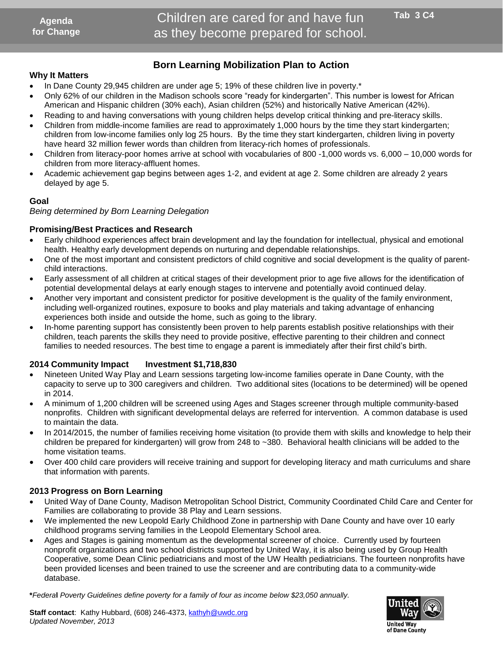## **Born Learning Mobilization Plan to Action**

#### **Why It Matters**

- In Dane County 29,945 children are under age 5; 19% of these children live in poverty.\*
- Only 62% of our children in the Madison schools score "ready for kindergarten". This number is lowest for African American and Hispanic children (30% each), Asian children (52%) and historically Native American (42%).
- Reading to and having conversations with young children helps develop critical thinking and pre-literacy skills.
- Children from middle-income families are read to approximately 1,000 hours by the time they start kindergarten; children from low-income families only log 25 hours. By the time they start kindergarten, children living in poverty have heard 32 million fewer words than children from literacy-rich homes of professionals. nty 29,945 children are under age 5; 19% of thes<br>our children in the Madison schools score "ready<br>d Hispanic children (30% each), Asian children (5<br>nd having conversations with young children help<br>i middle-income families
- Children from literacy-poor homes arrive at school with vocabularies of 800 -1,000 words vs. 6,000 10,000 words for children from more literacy-affluent homes.
- Academic achievement gap begins between ages 1-2, and evident at age 2. Some children are already 2 years delayed by age 5.

#### **Goal**

*Being determined by Born Learning Delegation*

#### **Promising/Best Practices and Research**

- Early childhood experiences affect brain development and lay the foundation for intellectual, physical and emotional health. Healthy early development depends on nurturing and dependable relationships.
- One of the most important and consistent predictors of child cognitive and social development is the quality of parentchild interactions.
- Early assessment of all children at critical stages of their development prior to age five allows for the identification of potential developmental delays at early enough stages to intervene and potentially avoid continued delay.
- Another very important and consistent predictor for positive development is the quality of the family environment, including well-organized routines, exposure to books and play materials and taking advantage of enhancing experiences both inside and outside the home, such as going to the library.
- In-home parenting support has consistently been proven to help parents establish positive relationships with their children, teach parents the skills they need to provide positive, effective parenting to their children and connect families to needed resources. The best time to engage a parent is immediately after their first child's birth.

#### **2014 Community Impact Investment \$1,718,830**

- Nineteen United Way Play and Learn sessions targeting low-income families operate in Dane County, with the capacity to serve up to 300 caregivers and children. Two additional sites (locations to be determined) will be opened in 2014.
- A minimum of 1,200 children will be screened using Ages and Stages screener through multiple community-based nonprofits. Children with significant developmental delays are referred for intervention. A common database is used to maintain the data.
- In 2014/2015, the number of families receiving home visitation (to provide them with skills and knowledge to help their children be prepared for kindergarten) will grow from 248 to ~380. Behavioral health clinicians will be added to the home visitation teams.
- Over 400 child care providers will receive training and support for developing literacy and math curriculums and share that information with parents.

#### **2013 Progress on Born Learning**

- United Way of Dane County, Madison Metropolitan School District, Community Coordinated Child Care and Center for Families are collaborating to provide 38 Play and Learn sessions.
- We implemented the new Leopold Early Childhood Zone in partnership with Dane County and have over 10 early childhood programs serving families in the Leopold Elementary School area.
- Ages and Stages is gaining momentum as the developmental screener of choice. Currently used by fourteen nonprofit organizations and two school districts supported by United Way, it is also being used by Group Health Cooperative, some Dean Clinic pediatricians and most of the UW Health pediatricians. The fourteen nonprofits have been provided licenses and been trained to use the screener and are contributing data to a community-wide database.

**\****Federa***l** *Poverty Guidelines define poverty for a family of four as income below \$23,050 annually.*



**United Way** of Dane County

**Staff contact**: Kathy Hubbard, (608) 246-4373[, kathyh@uwdc.org](mailto:kathyh@uwdc.org) *Updated November, 2013*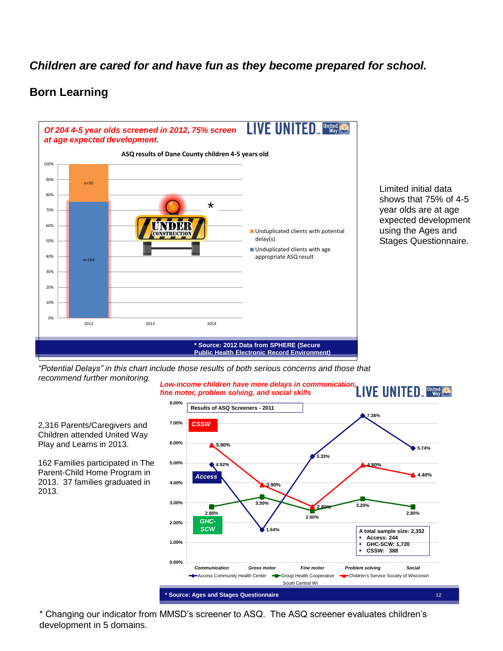## *Children are cared for and have fun as they become prepared for school.*

## **Born Learning**



Limited initial data shows that 75% of 4-5 year olds are at age expected development using the Ages and Stages Questionnaire.

*"Potential Delays" in this chart include those results of both serious concerns and those that recommend further monitoring. Low-income children have more delays in communication,* 



2,316 Parents/Caregivers and Children attended United Way Play and Learns in 2013.

162 Families participated in The Parent-Child Home Program in 2013. 37 families graduated in 2013.

\* Changing our indicator from MMSD's screener to ASQ. The ASQ screener evaluates children's development in 5 domains.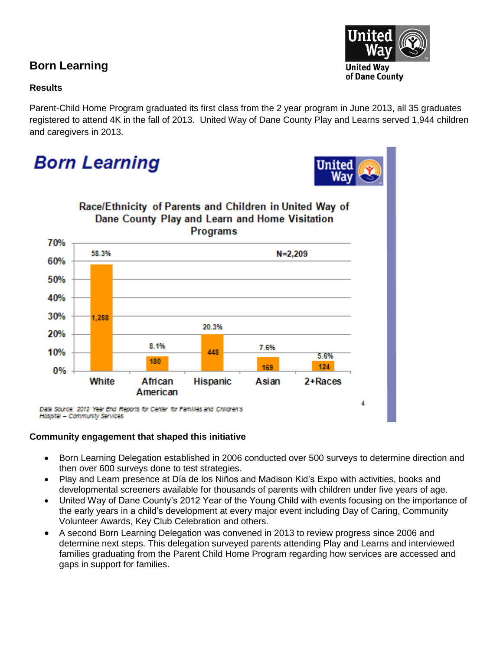## **Born Learning**

## **Results**

Parent-Child Home Program graduated its first class from the 2 year program in June 2013, all 35 graduates registered to attend 4K in the fall of 2013. United Way of Dane County Play and Learns served 1,944 children and caregivers in 2013.

# **Born Learning**





### **Community engagement that shaped this initiative**

- Born Learning Delegation established in 2006 conducted over 500 surveys to determine direction and then over 600 surveys done to test strategies.
- Play and Learn presence at Día de los Niños and Madison Kid's Expo with activities, books and developmental screeners available for thousands of parents with children under five years of age.
- United Way of Dane County's 2012 Year of the Young Child with events focusing on the importance of the early years in a child's development at every major event including Day of Caring, Community Volunteer Awards, Key Club Celebration and others.
- A second Born Learning Delegation was convened in 2013 to review progress since 2006 and determine next steps. This delegation surveyed parents attending Play and Learns and interviewed families graduating from the Parent Child Home Program regarding how services are accessed and gaps in support for families.

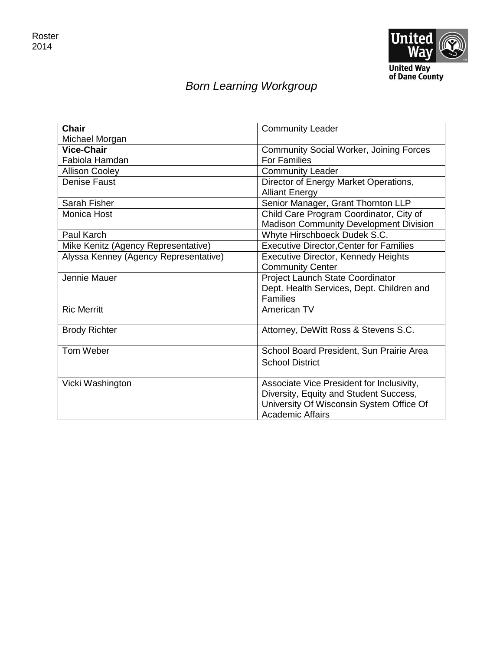

## *Born Learning Workgroup*

| <b>Chair</b>                          | <b>Community Leader</b>                        |
|---------------------------------------|------------------------------------------------|
| Michael Morgan                        |                                                |
| <b>Vice-Chair</b>                     | <b>Community Social Worker, Joining Forces</b> |
| Fabiola Hamdan                        | <b>For Families</b>                            |
| <b>Allison Cooley</b>                 | <b>Community Leader</b>                        |
| <b>Denise Faust</b>                   | Director of Energy Market Operations,          |
|                                       | <b>Alliant Energy</b>                          |
| Sarah Fisher                          | Senior Manager, Grant Thornton LLP             |
| Monica Host                           | Child Care Program Coordinator, City of        |
|                                       | <b>Madison Community Development Division</b>  |
| Paul Karch                            | Whyte Hirschboeck Dudek S.C.                   |
| Mike Kenitz (Agency Representative)   | <b>Executive Director, Center for Families</b> |
| Alyssa Kenney (Agency Representative) | <b>Executive Director, Kennedy Heights</b>     |
|                                       | <b>Community Center</b>                        |
| Jennie Mauer                          | Project Launch State Coordinator               |
|                                       | Dept. Health Services, Dept. Children and      |
|                                       | <b>Families</b>                                |
| <b>Ric Merritt</b>                    | American TV                                    |
|                                       |                                                |
| <b>Brody Richter</b>                  | Attorney, DeWitt Ross & Stevens S.C.           |
| Tom Weber                             | School Board President, Sun Prairie Area       |
|                                       | <b>School District</b>                         |
|                                       |                                                |
| Vicki Washington                      | Associate Vice President for Inclusivity,      |
|                                       | Diversity, Equity and Student Success,         |
|                                       | University Of Wisconsin System Office Of       |
|                                       | <b>Academic Affairs</b>                        |